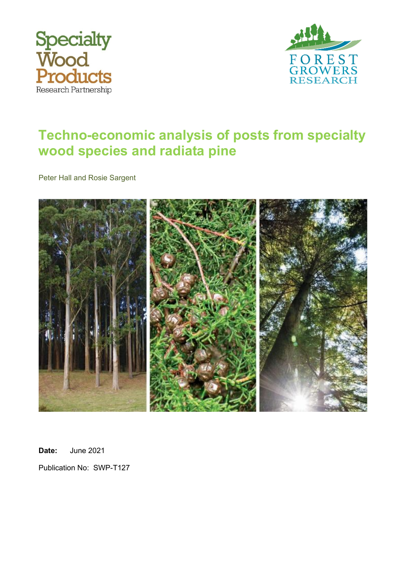



# **Techno-economic analysis of posts from specialty wood species and radiata pine**

Peter Hall and Rosie Sargent



**Date:** June 2021

Publication No: SWP-T127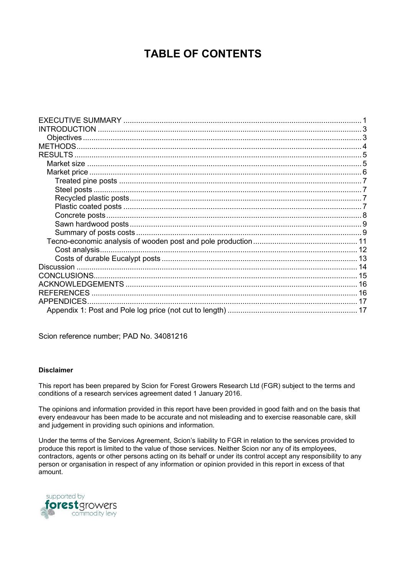### **TABLE OF CONTENTS**

| <b>REFERENCES</b> |  |
|-------------------|--|
|                   |  |
|                   |  |
|                   |  |

Scion reference number; PAD No. 34081216

#### **Disclaimer**

This report has been prepared by Scion for Forest Growers Research Ltd (FGR) subject to the terms and conditions of a research services agreement dated 1 January 2016.

The opinions and information provided in this report have been provided in good faith and on the basis that every endeavour has been made to be accurate and not misleading and to exercise reasonable care, skill and judgement in providing such opinions and information.

Under the terms of the Services Agreement, Scion's liability to FGR in relation to the services provided to produce this report is limited to the value of those services. Neither Scion nor any of its employees, contractors, agents or other persons acting on its behalf or under its control accept any responsibility to any person or organisation in respect of any information or opinion provided in this report in excess of that amount.

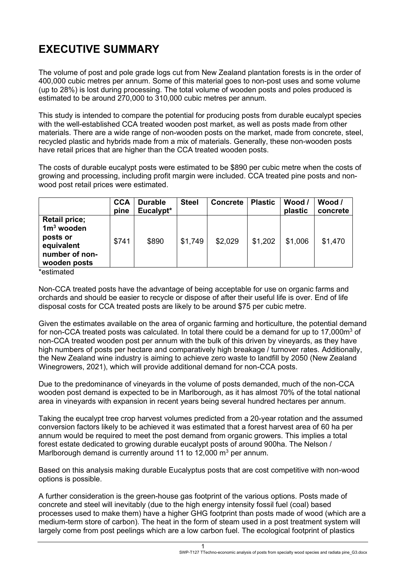### <span id="page-2-0"></span>**EXECUTIVE SUMMARY**

The volume of post and pole grade logs cut from New Zealand plantation forests is in the order of 400,000 cubic metres per annum. Some of this material goes to non-post uses and some volume (up to 28%) is lost during processing. The total volume of wooden posts and poles produced is estimated to be around 270,000 to 310,000 cubic metres per annum.

This study is intended to compare the potential for producing posts from durable eucalypt species with the well-established CCA treated wooden post market, as well as posts made from other materials. There are a wide range of non-wooden posts on the market, made from concrete, steel, recycled plastic and hybrids made from a mix of materials. Generally, these non-wooden posts have retail prices that are higher than the CCA treated wooden posts.

The costs of durable eucalypt posts were estimated to be \$890 per cubic metre when the costs of growing and processing, including profit margin were included. CCA treated pine posts and nonwood post retail prices were estimated.

|                                                                                                  | <b>CCA</b><br>pine | <b>Durable</b><br>Eucalypt* | <b>Steel</b> | <b>Concrete</b> | <b>Plastic</b> | Wood /<br>plastic | Wood /<br>concrete |
|--------------------------------------------------------------------------------------------------|--------------------|-----------------------------|--------------|-----------------|----------------|-------------------|--------------------|
| <b>Retail price;</b><br>$1m3$ wooden<br>posts or<br>equivalent<br>number of non-<br>wooden posts | \$741              | \$890                       | \$1,749      | \$2,029         | \$1,202        | \$1,006           | \$1,470            |

\*estimated

Non-CCA treated posts have the advantage of being acceptable for use on organic farms and orchards and should be easier to recycle or dispose of after their useful life is over. End of life disposal costs for CCA treated posts are likely to be around \$75 per cubic metre.

Given the estimates available on the area of organic farming and horticulture, the potential demand for non-CCA treated posts was calculated. In total there could be a demand for up to 17.000m<sup>3</sup> of non-CCA treated wooden post per annum with the bulk of this driven by vineyards, as they have high numbers of posts per hectare and comparatively high breakage / turnover rates. Additionally, the New Zealand wine industry is aiming to achieve zero waste to landfill by 2050 (New Zealand Winegrowers, 2021), which will provide additional demand for non-CCA posts.

Due to the predominance of vineyards in the volume of posts demanded, much of the non-CCA wooden post demand is expected to be in Marlborough, as it has almost 70% of the total national area in vineyards with expansion in recent years being several hundred hectares per annum.

Taking the eucalypt tree crop harvest volumes predicted from a 20-year rotation and the assumed conversion factors likely to be achieved it was estimated that a forest harvest area of 60 ha per annum would be required to meet the post demand from organic growers. This implies a total forest estate dedicated to growing durable eucalypt posts of around 900ha. The Nelson / Marlborough demand is currently around 11 to 12,000  $m^3$  per annum.

Based on this analysis making durable Eucalyptus posts that are cost competitive with non-wood options is possible.

A further consideration is the green-house gas footprint of the various options. Posts made of concrete and steel will inevitably (due to the high energy intensity fossil fuel (coal) based processes used to make them) have a higher GHG footprint than posts made of wood (which are a medium-term store of carbon). The heat in the form of steam used in a post treatment system will largely come from post peelings which are a low carbon fuel. The ecological footprint of plastics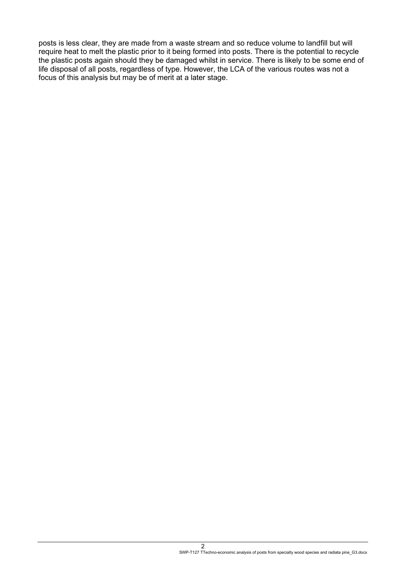posts is less clear, they are made from a waste stream and so reduce volume to landfill but will require heat to melt the plastic prior to it being formed into posts. There is the potential to recycle the plastic posts again should they be damaged whilst in service. There is likely to be some end of life disposal of all posts, regardless of type. However, the LCA of the various routes was not a focus of this analysis but may be of merit at a later stage.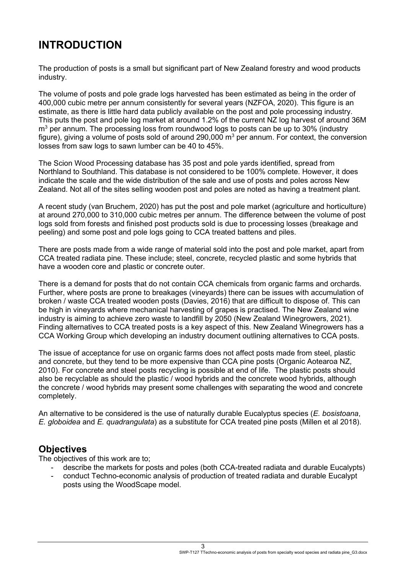# <span id="page-4-0"></span>**INTRODUCTION**

The production of posts is a small but significant part of New Zealand forestry and wood products industry.

The volume of posts and pole grade logs harvested has been estimated as being in the order of 400,000 cubic metre per annum consistently for several years (NZFOA, 2020). This figure is an estimate, as there is little hard data publicly available on the post and pole processing industry. This puts the post and pole log market at around 1.2% of the current NZ log harvest of around 36M  $m<sup>3</sup>$  per annum. The processing loss from roundwood logs to posts can be up to 30% (industry figure), giving a volume of posts sold of around 290,000  $m<sup>3</sup>$  per annum. For context, the conversion losses from saw logs to sawn lumber can be 40 to 45%.

The Scion Wood Processing database has 35 post and pole yards identified, spread from Northland to Southland. This database is not considered to be 100% complete. However, it does indicate the scale and the wide distribution of the sale and use of posts and poles across New Zealand. Not all of the sites selling wooden post and poles are noted as having a treatment plant.

A recent study (van Bruchem, 2020) has put the post and pole market (agriculture and horticulture) at around 270,000 to 310,000 cubic metres per annum. The difference between the volume of post logs sold from forests and finished post products sold is due to processing losses (breakage and peeling) and some post and pole logs going to CCA treated battens and piles.

There are posts made from a wide range of material sold into the post and pole market, apart from CCA treated radiata pine. These include; steel, concrete, recycled plastic and some hybrids that have a wooden core and plastic or concrete outer.

There is a demand for posts that do not contain CCA chemicals from organic farms and orchards. Further, where posts are prone to breakages (vineyards) there can be issues with accumulation of broken / waste CCA treated wooden posts (Davies, 2016) that are difficult to dispose of. This can be high in vineyards where mechanical harvesting of grapes is practised. The New Zealand wine industry is aiming to achieve zero waste to landfill by 2050 (New Zealand Winegrowers, 2021). Finding alternatives to CCA treated posts is a key aspect of this. New Zealand Winegrowers has a CCA Working Group which developing an industry document outlining alternatives to CCA posts.

The issue of acceptance for use on organic farms does not affect posts made from steel, plastic and concrete, but they tend to be more expensive than CCA pine posts (Organic Aotearoa NZ, 2010). For concrete and steel posts recycling is possible at end of life. The plastic posts should also be recyclable as should the plastic / wood hybrids and the concrete wood hybrids, although the concrete / wood hybrids may present some challenges with separating the wood and concrete completely.

An alternative to be considered is the use of naturally durable Eucalyptus species (*E. bosistoana*, *E. globoidea* and *E. quadrangulata*) as a substitute for CCA treated pine posts (Millen et al 2018).

### <span id="page-4-1"></span>**Objectives**

The objectives of this work are to;

- describe the markets for posts and poles (both CCA-treated radiata and durable Eucalypts)
- conduct Techno-economic analysis of production of treated radiata and durable Eucalypt posts using the WoodScape model.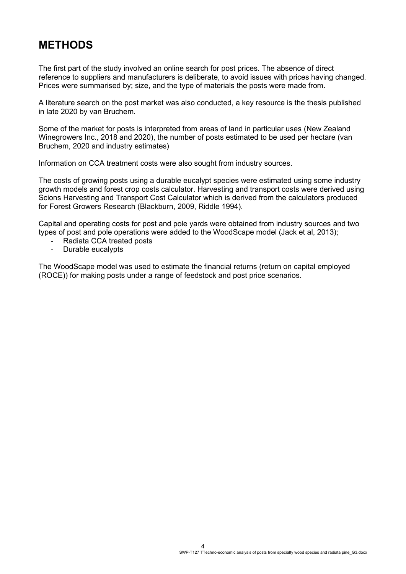## <span id="page-5-0"></span>**METHODS**

The first part of the study involved an online search for post prices. The absence of direct reference to suppliers and manufacturers is deliberate, to avoid issues with prices having changed. Prices were summarised by; size, and the type of materials the posts were made from.

A literature search on the post market was also conducted, a key resource is the thesis published in late 2020 by van Bruchem.

Some of the market for posts is interpreted from areas of land in particular uses (New Zealand Winegrowers Inc., 2018 and 2020), the number of posts estimated to be used per hectare (van Bruchem, 2020 and industry estimates)

Information on CCA treatment costs were also sought from industry sources.

The costs of growing posts using a durable eucalypt species were estimated using some industry growth models and forest crop costs calculator. Harvesting and transport costs were derived using Scions Harvesting and Transport Cost Calculator which is derived from the calculators produced for Forest Growers Research (Blackburn, 2009, Riddle 1994).

Capital and operating costs for post and pole yards were obtained from industry sources and two types of post and pole operations were added to the WoodScape model (Jack et al, 2013);

- Radiata CCA treated posts
- Durable eucalypts

The WoodScape model was used to estimate the financial returns (return on capital employed (ROCE)) for making posts under a range of feedstock and post price scenarios.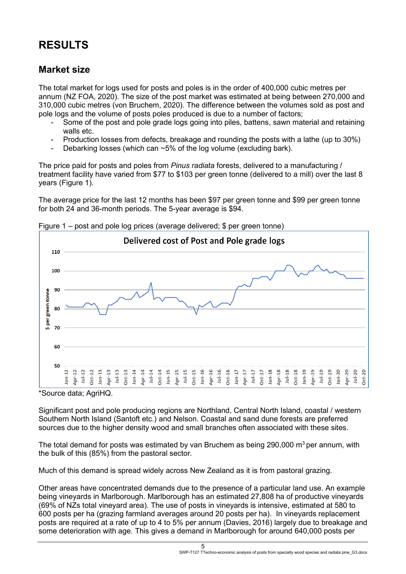# <span id="page-6-0"></span>**RESULTS**

### <span id="page-6-1"></span>**Market size**

The total market for logs used for posts and poles is in the order of 400,000 cubic metres per annum (NZ FOA, 2020). The size of the post market was estimated at being between 270,000 and 310,000 cubic metres (von Bruchem, 2020). The difference between the volumes sold as post and pole logs and the volume of posts poles produced is due to a number of factors;

- Some of the post and pole grade logs going into piles, battens, sawn material and retaining walls etc.
- Production losses from defects, breakage and rounding the posts with a lathe (up to 30%)
- Debarking losses (which can  $~5\%$  of the log volume (excluding bark).

The price paid for posts and poles from *Pinus radiata* forests, delivered to a manufacturing / treatment facility have varied from \$77 to \$103 per green tonne (delivered to a mill) over the last 8 years (Figure 1).

The average price for the last 12 months has been \$97 per green tonne and \$99 per green tonne for both 24 and 36-month periods. The 5-year average is \$94.



Figure 1 – post and pole log prices (average delivered; \$ per green tonne)

\*Source data; AgriHQ.

Significant post and pole producing regions are Northland, Central North Island, coastal / western Southern North Island (Santoft etc.) and Nelson. Coastal and sand dune forests are preferred sources due to the higher density wood and small branches often associated with these sites.

The total demand for posts was estimated by van Bruchem as being  $290,000$  m<sup>3</sup> per annum, with the bulk of this (85%) from the pastoral sector.

Much of this demand is spread widely across New Zealand as it is from pastoral grazing.

Other areas have concentrated demands due to the presence of a particular land use. An example being vineyards in Marlborough. Marlborough has an estimated 27,808 ha of productive vineyards (69% of NZs total vineyard area). The use of posts in vineyards is intensive, estimated at 580 to 600 posts per ha (grazing farmland averages around 20 posts per ha). In vineyards replacement posts are required at a rate of up to 4 to 5% per annum (Davies, 2016) largely due to breakage and some deterioration with age. This gives a demand in Marlborough for around 640,000 posts per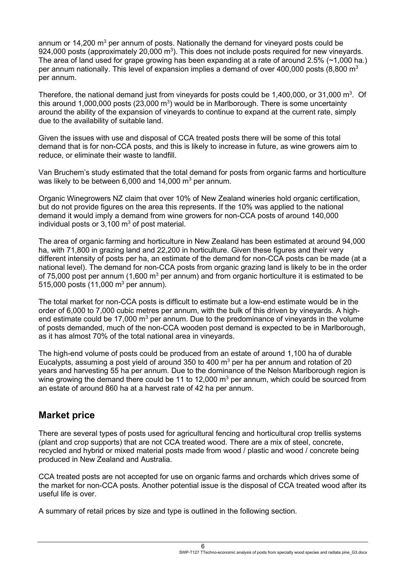annum or  $14.200 \text{ m}^3$  per annum of posts. Nationally the demand for vinevard posts could be 924,000 posts (approximately 20,000  $m<sup>3</sup>$ ). This does not include posts required for new vineyards. The area of land used for grape growing has been expanding at a rate of around  $2.5\%$  ( $\sim$ 1,000 ha.) per annum nationally. This level of expansion implies a demand of over 400,000 posts (8,800 m<sup>3</sup>) per annum.

Therefore, the national demand just from vineyards for posts could be 1,400,000, or 31,000  $\mathrm{m}^3$ . Of this around 1,000,000 posts (23,000  $m<sup>3</sup>$ ) would be in Marlborough. There is some uncertainty around the ability of the expansion of vineyards to continue to expand at the current rate, simply due to the availability of suitable land.

Given the issues with use and disposal of CCA treated posts there will be some of this total demand that is for non-CCA posts, and this is likely to increase in future, as wine growers aim to reduce, or eliminate their waste to landfill.

Van Bruchem's study estimated that the total demand for posts from organic farms and horticulture was likely to be between 6,000 and 14,000  $\text{m}^3$  per annum.

Organic Winegrowers NZ claim that over 10% of New Zealand wineries hold organic certification, but do not provide figures on the area this represents. If the 10% was applied to the national demand it would imply a demand from wine growers for non-CCA posts of around 140,000 individual posts or  $3,100 \text{ m}^3$  of post material.

The area of organic farming and horticulture in New Zealand has been estimated at around 94,000 ha, with 71,800 in grazing land and 22,200 in horticulture. Given these figures and their very different intensity of posts per ha, an estimate of the demand for non-CCA posts can be made (at a national level). The demand for non-CCA posts from organic grazing land is likely to be in the order of 75,000 post per annum (1,600  $m^3$  per annum) and from organic horticulture it is estimated to be 515,000 posts (11,000  $m^3$  per annum).

The total market for non-CCA posts is difficult to estimate but a low-end estimate would be in the order of 6,000 to 7,000 cubic metres per annum, with the bulk of this driven by vineyards. A highend estimate could be 17,000  $m<sup>3</sup>$  per annum. Due to the predominance of vinevards in the volume of posts demanded, much of the non-CCA wooden post demand is expected to be in Marlborough, as it has almost 70% of the total national area in vineyards.

The high-end volume of posts could be produced from an estate of around 1,100 ha of durable Eucalypts, assuming a post yield of around 350 to 400  $\text{m}^3$  per ha per annum and rotation of 20 years and harvesting 55 ha per annum. Due to the dominance of the Nelson Marlborough region is wine growing the demand there could be 11 to 12,000  $m<sup>3</sup>$  per annum, which could be sourced from an estate of around 860 ha at a harvest rate of 42 ha per annum.

### <span id="page-7-0"></span>**Market price**

There are several types of posts used for agricultural fencing and horticultural crop trellis systems (plant and crop supports) that are not CCA treated wood. There are a mix of steel, concrete, recycled and hybrid or mixed material posts made from wood / plastic and wood / concrete being produced in New Zealand and Australia.

CCA treated posts are not accepted for use on organic farms and orchards which drives some of the market for non-CCA posts. Another potential issue is the disposal of CCA treated wood after its useful life is over.

A summary of retail prices by size and type is outlined in the following section.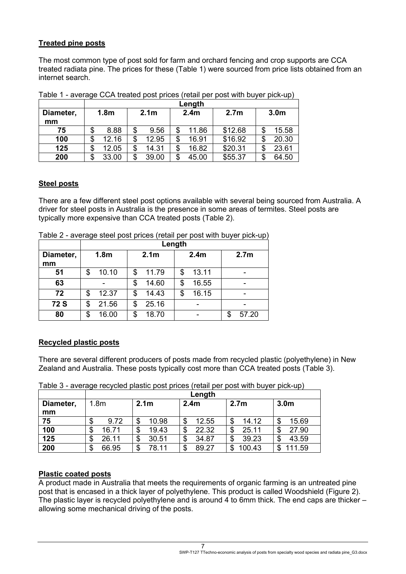#### <span id="page-8-0"></span>**Treated pine posts**

The most common type of post sold for farm and orchard fencing and crop supports are CCA treated radiata pine. The prices for these (Table 1) were sourced from price lists obtained from an internet search.

|           | Length           |                  |                  |                  |                  |  |  |  |
|-----------|------------------|------------------|------------------|------------------|------------------|--|--|--|
| Diameter, | 1.8 <sub>m</sub> | 2.1 <sub>m</sub> | 2.4 <sub>m</sub> | 2.7 <sub>m</sub> | 3.0 <sub>m</sub> |  |  |  |
| mm        |                  |                  |                  |                  |                  |  |  |  |
| 75        | 8.88<br>S        | \$<br>9.56       | 11.86<br>\$      | \$12.68          | 15.58<br>S       |  |  |  |
| 100       | 12.16            | 12.95<br>\$      | 16.91<br>\$      | \$16.92          | 20.30<br>\$      |  |  |  |
| 125       | 12.05<br>S       | \$<br>14.31      | 16.82<br>\$      | \$20.31          | 23.61<br>\$      |  |  |  |
| 200       | 33.00<br>S       | 39.00<br>\$      | 45.00<br>\$      | \$55.37          | 64.50<br>S       |  |  |  |

Table 1 - average CCA treated post prices (retail per post with buyer pick-up)

#### <span id="page-8-1"></span>**Steel posts**

There are a few different steel post options available with several being sourced from Australia. A driver for steel posts in Australia is the presence in some areas of termites. Steel posts are typically more expensive than CCA treated posts (Table 2).

|             | Length           |                                      |             |                  |  |  |  |  |
|-------------|------------------|--------------------------------------|-------------|------------------|--|--|--|--|
| Diameter,   | 1.8 <sub>m</sub> | 2.1 <sub>m</sub><br>2.4 <sub>m</sub> |             | 2.7 <sub>m</sub> |  |  |  |  |
| mm          |                  |                                      |             |                  |  |  |  |  |
| 51          | 10.10<br>\$      | 11.79<br>\$                          | 13.11<br>\$ |                  |  |  |  |  |
| 63          |                  | 14.60<br>\$                          | 16.55<br>\$ |                  |  |  |  |  |
| 72          | 12.37<br>\$      | 14.43<br>\$                          | 16.15<br>\$ |                  |  |  |  |  |
| <b>72 S</b> | 21.56<br>\$      | 25.16<br>\$                          |             |                  |  |  |  |  |
| 80          | 16.00<br>\$      | 18.70<br>\$                          |             | 57.20<br>\$      |  |  |  |  |

Table 2 - average steel post prices (retail per post with buyer pick-up)

#### <span id="page-8-2"></span>**Recycled plastic posts**

There are several different producers of posts made from recycled plastic (polyethylene) in New Zealand and Australia. These posts typically cost more than CCA treated posts (Table 3).

Table 3 - average recycled plastic post prices (retail per post with buyer pick-up)

|           | Length           |                  |                  |                  |                  |  |  |
|-----------|------------------|------------------|------------------|------------------|------------------|--|--|
| Diameter, | 1.8 <sub>m</sub> | 2.1 <sub>m</sub> | 2.4 <sub>m</sub> | 2.7 <sub>m</sub> | 3.0 <sub>m</sub> |  |  |
| mm        |                  |                  |                  |                  |                  |  |  |
| 75        | 9.72<br>\$       | 10.98<br>\$      | 12.55<br>\$      | 14.12<br>\$      | 15.69            |  |  |
| 100       | 16.71<br>\$      | 19.43<br>\$      | 22.32<br>S       | 25.11            | 27.90            |  |  |
| 125       | 26.11<br>S       | 30.51<br>\$      | 34.87<br>J       | 39.23<br>\$      | 43.59<br>S       |  |  |
| 200       | 66.95<br>\$      | 78.11<br>\$      | 89.27<br>ጦ       | 100.43<br>S      | 11.59            |  |  |

#### <span id="page-8-3"></span>**Plastic coated posts**

A product made in Australia that meets the requirements of organic farming is an untreated pine post that is encased in a thick layer of polyethylene. This product is called Woodshield (Figure 2). The plastic layer is recycled polyethylene and is around 4 to 6mm thick. The end caps are thicker – allowing some mechanical driving of the posts.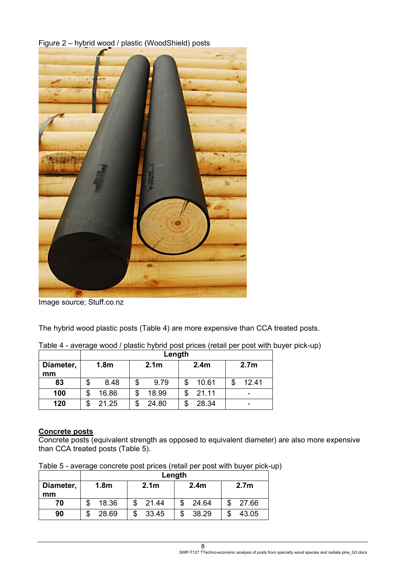Figure 2 – hybrid wood / plastic (WoodShield) posts

Image source; Stuff.co.nz

The hybrid wood plastic posts (Table 4) are more expensive than CCA treated posts.

|           |                  | Length |                  |       |                  |       |                  |       |  |
|-----------|------------------|--------|------------------|-------|------------------|-------|------------------|-------|--|
| Diameter, | 1.8 <sub>m</sub> |        | 2.1 <sub>m</sub> |       | 2.4 <sub>m</sub> |       | 2.7 <sub>m</sub> |       |  |
| mm        |                  |        |                  |       |                  |       |                  |       |  |
| 83        |                  | 8.48   | S                | 9.79  |                  | 10.61 |                  | 12.41 |  |
| 100       |                  | 16.86  |                  | 18.99 |                  | 21.11 |                  |       |  |
| 120       |                  | 21.25  |                  | 24.80 |                  | 28.34 |                  | -     |  |

Table 4 - average wood / plastic hybrid post prices (retail per post with buyer pick-up)

#### <span id="page-9-0"></span>**Concrete posts**

Concrete posts (equivalent strength as opposed to equivalent diameter) are also more expensive than CCA treated posts (Table 5).

Table 5 - average concrete post prices (retail per post with buyer pick-up)

|           | Length           |                  |                  |                  |  |  |  |
|-----------|------------------|------------------|------------------|------------------|--|--|--|
| Diameter, | 1.8 <sub>m</sub> | 2.1 <sub>m</sub> | 2.4 <sub>m</sub> | 2.7 <sub>m</sub> |  |  |  |
| mm        |                  |                  |                  |                  |  |  |  |
| 70        | 18.36            | 21.44            | 24.64            | 27.66            |  |  |  |
| 90        | 28.69            | 33.45            | 38.29            | 43.05            |  |  |  |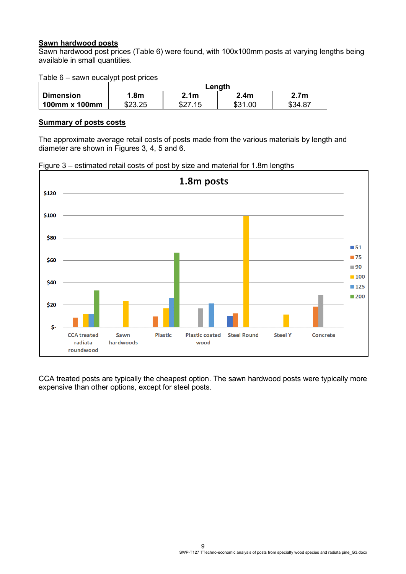#### <span id="page-10-0"></span>**Sawn hardwood posts**

Sawn hardwood post prices (Table 6) were found, with 100x100mm posts at varying lengths being available in small quantities.

Table 6 – sawn eucalypt post prices

|                  | Length  |                     |                   |         |  |  |
|------------------|---------|---------------------|-------------------|---------|--|--|
| <b>Dimension</b> | .8m     | 2.1 <sub>m</sub>    | 2.4 <sub>m</sub>  | 2.7m    |  |  |
| 100mm x 100mm    | \$23.25 | ሶሳን<br>- 1 に<br>DL. | ৫০ 1<br>.00<br>აა | \$34.87 |  |  |

#### <span id="page-10-1"></span>**Summary of posts costs**

The approximate average retail costs of posts made from the various materials by length and diameter are shown in Figures 3, 4, 5 and 6.





CCA treated posts are typically the cheapest option. The sawn hardwood posts were typically more expensive than other options, except for steel posts.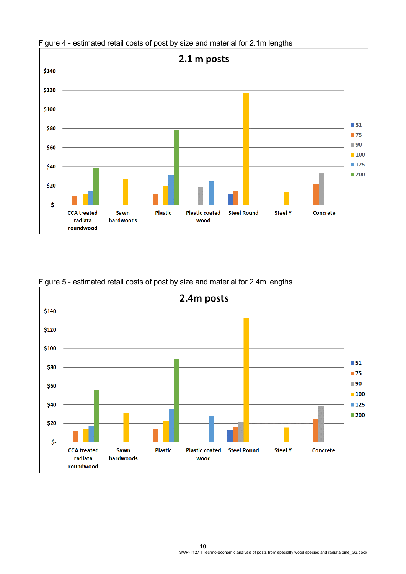

Figure 4 - estimated retail costs of post by size and material for 2.1m lengths



Figure 5 - estimated retail costs of post by size and material for 2.4m lengths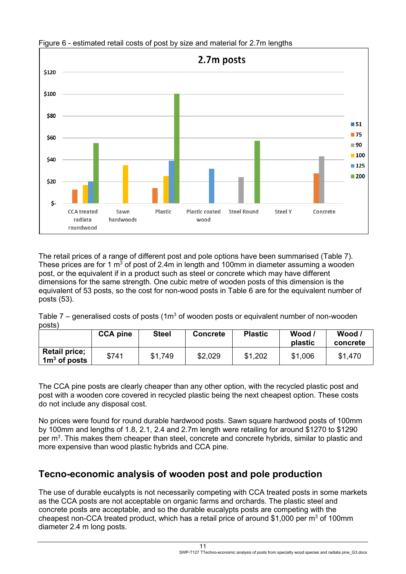

Figure 6 - estimated retail costs of post by size and material for 2.7m lengths

The retail prices of a range of different post and pole options have been summarised (Table 7). These prices are for 1  $m^3$  of post of 2.4m in length and 100mm in diameter assuming a wooden post, or the equivalent if in a product such as steel or concrete which may have different dimensions for the same strength. One cubic metre of wooden posts of this dimension is the equivalent of 53 posts, so the cost for non-wood posts in Table 6 are for the equivalent number of posts (53).

Table 7 – generalised costs of posts ( $1m<sup>3</sup>$  of wooden posts or equivalent number of non-wooden posts)

|                                        | <b>CCA pine</b> | <b>Steel</b> | <b>Concrete</b> | <b>Plastic</b> | Wood<br>plastic | Wood /<br>concrete |
|----------------------------------------|-----------------|--------------|-----------------|----------------|-----------------|--------------------|
| <b>Retail price;</b><br>$1m3$ of posts | \$741           | \$1,749      | \$2,029         | \$1,202        | \$1,006         | \$1,470            |

The CCA pine posts are clearly cheaper than any other option, with the recycled plastic post and post with a wooden core covered in recycled plastic being the next cheapest option. These costs do not include any disposal cost.

No prices were found for round durable hardwood posts. Sawn square hardwood posts of 100mm by 100mm and lengths of 1.8, 2.1, 2.4 and 2.7m length were retailing for around \$1270 to \$1290 per m<sup>3</sup>. This makes them cheaper than steel, concrete and concrete hybrids, similar to plastic and more expensive than wood plastic hybrids and CCA pine.

### <span id="page-12-0"></span>**Tecno-economic analysis of wooden post and pole production**

The use of durable eucalypts is not necessarily competing with CCA treated posts in some markets as the CCA posts are not acceptable on organic farms and orchards. The plastic steel and concrete posts are acceptable, and so the durable eucalypts posts are competing with the cheapest non-CCA treated product, which has a retail price of around \$1,000 per  $m<sup>3</sup>$  of 100mm diameter 2.4 m long posts.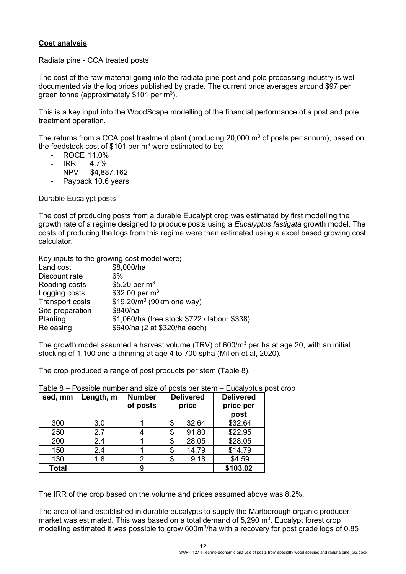#### <span id="page-13-0"></span>**Cost analysis**

Radiata pine - CCA treated posts

The cost of the raw material going into the radiata pine post and pole processing industry is well documented via the log prices published by grade. The current price averages around \$97 per green tonne (approximately \$101 per m<sup>3</sup>).

This is a key input into the WoodScape modelling of the financial performance of a post and pole treatment operation.

The returns from a CCA post treatment plant (producing 20,000  $\mathrm{m}^3$  of posts per annum), based on the feedstock cost of \$101 per  $m^3$  were estimated to be;

- ROCE 11.0%
- IRR 4.7%
- NPV -\$4,887,162
- Payback 10.6 years

Durable Eucalypt posts

The cost of producing posts from a durable Eucalypt crop was estimated by first modelling the growth rate of a regime designed to produce posts using a *Eucalyptus fastigata* growth model. The costs of producing the logs from this regime were then estimated using a excel based growing cost calculator.

Key inputs to the growing cost model were;

| Land cost              | \$8,000/ha                                   |
|------------------------|----------------------------------------------|
| Discount rate          | 6%                                           |
| Roading costs          | \$5.20 per $m^3$                             |
| Logging costs          | \$32.00 per $m^3$                            |
| <b>Transport costs</b> | $$19.20/m3$ (90km one way)                   |
| Site preparation       | \$840/ha                                     |
| Planting               | \$1,060/ha (tree stock \$722 / labour \$338) |
| Releasing              | \$640/ha (2 at \$320/ha each)                |
|                        |                                              |

The growth model assumed a harvest volume (TRV) of 600/m<sup>3</sup> per ha at age 20, with an initial stocking of 1,100 and a thinning at age 4 to 700 spha (Millen et al, 2020).

The crop produced a range of post products per stem (Table 8).

| sed, mm      | Length, m | <b>Number</b><br>of posts | <b>Delivered</b><br>price |       | <b>Delivered</b><br>price per<br>post |
|--------------|-----------|---------------------------|---------------------------|-------|---------------------------------------|
| 300          | 3.0       |                           | \$                        | 32.64 | \$32.64                               |
| 250          | 2.7       |                           | \$                        | 91.80 | \$22.95                               |
| 200          | 2.4       |                           | \$                        | 28.05 | \$28.05                               |
| 150          | 2.4       |                           | \$                        | 14.79 | \$14.79                               |
| 130          | 1.8       | 2                         | \$                        | 9.18  | \$4.59                                |
| <b>Total</b> |           | 9                         |                           |       | \$103.02                              |

Table 8 – Possible number and size of posts per stem – Eucalyptus post crop

The IRR of the crop based on the volume and prices assumed above was 8.2%.

The area of land established in durable eucalypts to supply the Marlborough organic producer market was estimated. This was based on a total demand of  $5,290 \text{ m}^3$ . Eucalypt forest crop modelling estimated it was possible to grow 600m<sup>3</sup>/ha with a recovery for post grade logs of 0.85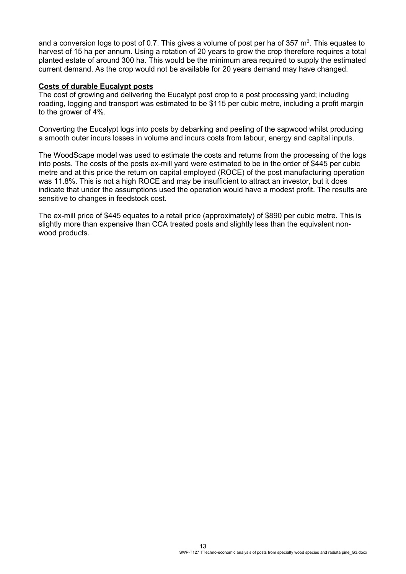and a conversion logs to post of 0.7. This gives a volume of post per ha of 357 m<sup>3</sup>. This equates to harvest of 15 ha per annum. Using a rotation of 20 years to grow the crop therefore requires a total planted estate of around 300 ha. This would be the minimum area required to supply the estimated current demand. As the crop would not be available for 20 years demand may have changed.

#### <span id="page-14-0"></span>**Costs of durable Eucalypt posts**

The cost of growing and delivering the Eucalypt post crop to a post processing yard; including roading, logging and transport was estimated to be \$115 per cubic metre, including a profit margin to the grower of 4%.

Converting the Eucalypt logs into posts by debarking and peeling of the sapwood whilst producing a smooth outer incurs losses in volume and incurs costs from labour, energy and capital inputs.

The WoodScape model was used to estimate the costs and returns from the processing of the logs into posts. The costs of the posts ex-mill yard were estimated to be in the order of \$445 per cubic metre and at this price the return on capital employed (ROCE) of the post manufacturing operation was 11.8%. This is not a high ROCE and may be insufficient to attract an investor, but it does indicate that under the assumptions used the operation would have a modest profit. The results are sensitive to changes in feedstock cost.

The ex-mill price of \$445 equates to a retail price (approximately) of \$890 per cubic metre. This is slightly more than expensive than CCA treated posts and slightly less than the equivalent nonwood products.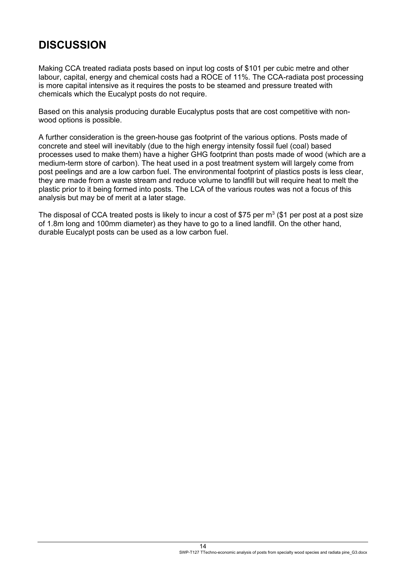## <span id="page-15-0"></span>**DISCUSSION**

Making CCA treated radiata posts based on input log costs of \$101 per cubic metre and other labour, capital, energy and chemical costs had a ROCE of 11%. The CCA-radiata post processing is more capital intensive as it requires the posts to be steamed and pressure treated with chemicals which the Eucalypt posts do not require.

Based on this analysis producing durable Eucalyptus posts that are cost competitive with nonwood options is possible.

A further consideration is the green-house gas footprint of the various options. Posts made of concrete and steel will inevitably (due to the high energy intensity fossil fuel (coal) based processes used to make them) have a higher GHG footprint than posts made of wood (which are a medium-term store of carbon). The heat used in a post treatment system will largely come from post peelings and are a low carbon fuel. The environmental footprint of plastics posts is less clear, they are made from a waste stream and reduce volume to landfill but will require heat to melt the plastic prior to it being formed into posts. The LCA of the various routes was not a focus of this analysis but may be of merit at a later stage.

The disposal of CCA treated posts is likely to incur a cost of \$75 per  $m^3$  (\$1 per post at a post size of 1.8m long and 100mm diameter) as they have to go to a lined landfill. On the other hand, durable Eucalypt posts can be used as a low carbon fuel.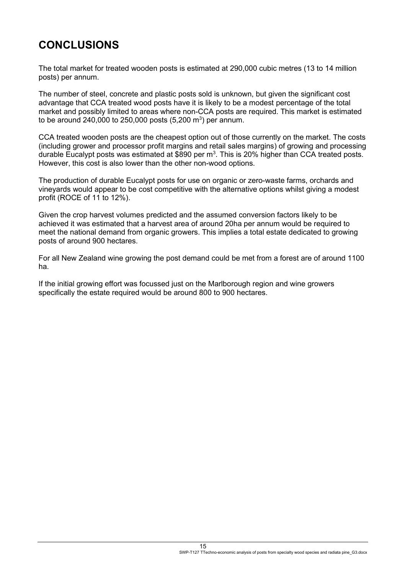# <span id="page-16-0"></span>**CONCLUSIONS**

The total market for treated wooden posts is estimated at 290,000 cubic metres (13 to 14 million posts) per annum.

The number of steel, concrete and plastic posts sold is unknown, but given the significant cost advantage that CCA treated wood posts have it is likely to be a modest percentage of the total market and possibly limited to areas where non-CCA posts are required. This market is estimated to be around 240,000 to 250,000 posts  $(5,200 \text{ m}^3)$  per annum.

CCA treated wooden posts are the cheapest option out of those currently on the market. The costs (including grower and processor profit margins and retail sales margins) of growing and processing durable Eucalypt posts was estimated at \$890 per  $m^3$ . This is 20% higher than CCA treated posts. However, this cost is also lower than the other non-wood options.

The production of durable Eucalypt posts for use on organic or zero-waste farms, orchards and vineyards would appear to be cost competitive with the alternative options whilst giving a modest profit (ROCE of 11 to 12%).

Given the crop harvest volumes predicted and the assumed conversion factors likely to be achieved it was estimated that a harvest area of around 20ha per annum would be required to meet the national demand from organic growers. This implies a total estate dedicated to growing posts of around 900 hectares.

For all New Zealand wine growing the post demand could be met from a forest are of around 1100 ha.

If the initial growing effort was focussed just on the Marlborough region and wine growers specifically the estate required would be around 800 to 900 hectares.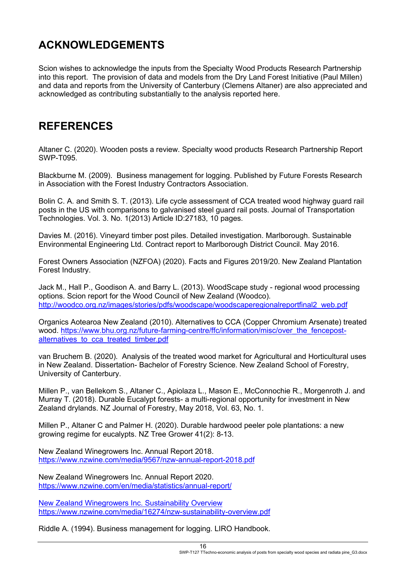## <span id="page-17-0"></span>**ACKNOWLEDGEMENTS**

Scion wishes to acknowledge the inputs from the Specialty Wood Products Research Partnership into this report. The provision of data and models from the Dry Land Forest Initiative (Paul Millen) and data and reports from the University of Canterbury (Clemens Altaner) are also appreciated and acknowledged as contributing substantially to the analysis reported here.

### <span id="page-17-1"></span>**REFERENCES**

Altaner C. (2020). Wooden posts a review. Specialty wood products Research Partnership Report SWP-T095.

Blackburne M. (2009). Business management for logging. Published by Future Forests Research in Association with the Forest Industry Contractors Association.

Bolin C. A. and Smith S. T. (2013). Life cycle assessment of CCA treated wood highway guard rail posts in the US with comparisons to galvanised steel guard rail posts. Journal of Transportation Technologies. Vol. 3. No. 1(2013) Article ID:27183, 10 pages.

Davies M. (2016). Vineyard timber post piles. Detailed investigation. Marlborough. Sustainable Environmental Engineering Ltd. Contract report to Marlborough District Council. May 2016.

Forest Owners Association (NZFOA) (2020). Facts and Figures 2019/20. New Zealand Plantation Forest Industry.

Jack M., Hall P., Goodison A. and Barry L. (2013). WoodScape study - regional wood processing options. Scion report for the Wood Council of New Zealand (Woodco). [http://woodco.org.nz/images/stories/pdfs/woodscape/woodscaperegionalreportfinal2\\_web.pdf](http://woodco.org.nz/images/stories/pdfs/woodscape/woodscaperegionalreportfinal2_web.pdf)

Organics Aotearoa New Zealand (2010). Alternatives to CCA (Copper Chromium Arsenate) treated wood. [https://www.bhu.org.nz/future-farming-centre/ffc/information/misc/over\\_the\\_fencepost](https://www.bhu.org.nz/future-farming-centre/ffc/information/misc/over_the_fencepost-alternatives_to_cca_treated_timber.pdf)alternatives to cca\_treated\_timber.pdf

van Bruchem B. (2020). Analysis of the treated wood market for Agricultural and Horticultural uses in New Zealand. Dissertation- Bachelor of Forestry Science. New Zealand School of Forestry, University of Canterbury.

Millen P., van Bellekom S., Altaner C., Apiolaza L., Mason E., McConnochie R., Morgenroth J. and Murray T. (2018). Durable Eucalypt forests- a multi-regional opportunity for investment in New Zealand drylands. NZ Journal of Forestry, May 2018, Vol. 63, No. 1.

Millen P., Altaner C and Palmer H. (2020). Durable hardwood peeler pole plantations: a new growing regime for eucalypts. NZ Tree Grower 41(2): 8-13.

New Zealand Winegrowers Inc. Annual Report 2018. <https://www.nzwine.com/media/9567/nzw-annual-report-2018.pdf>

New Zealand Winegrowers Inc. Annual Report 2020. <https://www.nzwine.com/en/media/statistics/annual-report/>

New Zealand Winegrowers Inc. Sustainability Overview <https://www.nzwine.com/media/16274/nzw-sustainability-overview.pdf>

Riddle A. (1994). Business management for logging. LIRO Handbook.